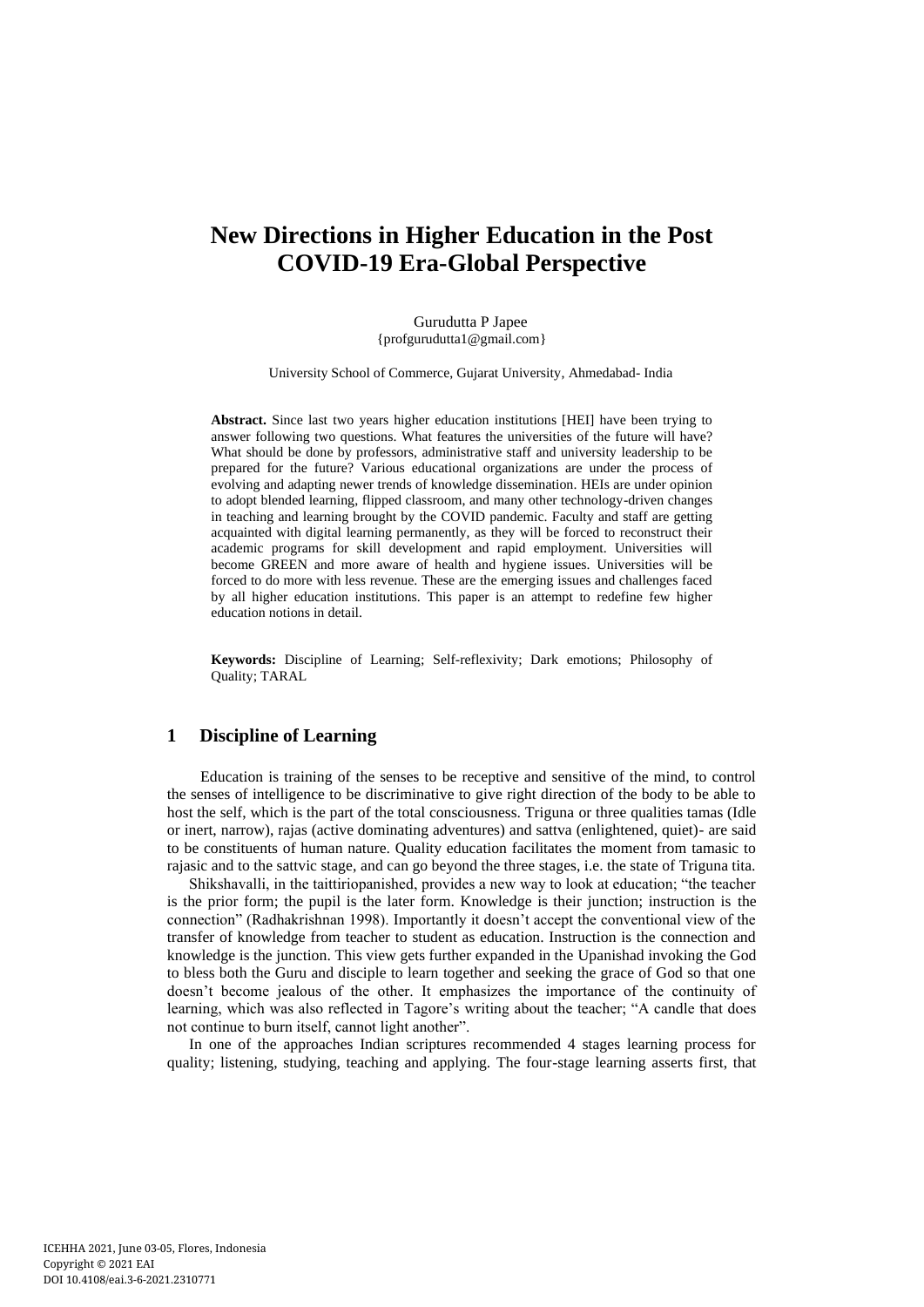# **New Directions in Higher Education in the Post COVID-19 Era-Global Perspective**

Gurudutta P Japee {profgurudutta1@gmail.com}

University School of Commerce, Gujarat University, Ahmedabad- India

**Abstract.** Since last two years higher education institutions [HEI] have been trying to answer following two questions. What features the universities of the future will have? What should be done by professors, administrative staff and university leadership to be prepared for the future? Various educational organizations are under the process of evolving and adapting newer trends of knowledge dissemination. HEIs are under opinion to adopt blended learning, flipped classroom, and many other technology-driven changes in teaching and learning brought by the COVID pandemic. Faculty and staff are getting acquainted with digital learning permanently, as they will be forced to reconstruct their academic programs for skill development and rapid employment. Universities will become GREEN and more aware of health and hygiene issues. Universities will be forced to do more with less revenue. These are the emerging issues and challenges faced by all higher education institutions. This paper is an attempt to redefine few higher education notions in detail.

**Keywords:** Discipline of Learning; Self-reflexivity; Dark emotions; Philosophy of Quality; TARAL

## **1 Discipline of Learning**

Education is training of the senses to be receptive and sensitive of the mind, to control the senses of intelligence to be discriminative to give right direction of the body to be able to host the self, which is the part of the total consciousness. Triguna or three qualities tamas (Idle or inert, narrow), rajas (active dominating adventures) and sattva (enlightened, quiet)- are said to be constituents of human nature. Quality education facilitates the moment from tamasic to rajasic and to the sattvic stage, and can go beyond the three stages, i.e. the state of Triguna tita.

Shikshavalli, in the taittiriopanished, provides a new way to look at education; "the teacher is the prior form; the pupil is the later form. Knowledge is their junction; instruction is the connection" (Radhakrishnan 1998). Importantly it doesn't accept the conventional view of the transfer of knowledge from teacher to student as education. Instruction is the connection and knowledge is the junction. This view gets further expanded in the Upanishad invoking the God to bless both the Guru and disciple to learn together and seeking the grace of God so that one doesn't become jealous of the other. It emphasizes the importance of the continuity of learning, which was also reflected in Tagore's writing about the teacher; "A candle that does not continue to burn itself, cannot light another".

In one of the approaches Indian scriptures recommended 4 stages learning process for quality; listening, studying, teaching and applying. The four-stage learning asserts first, that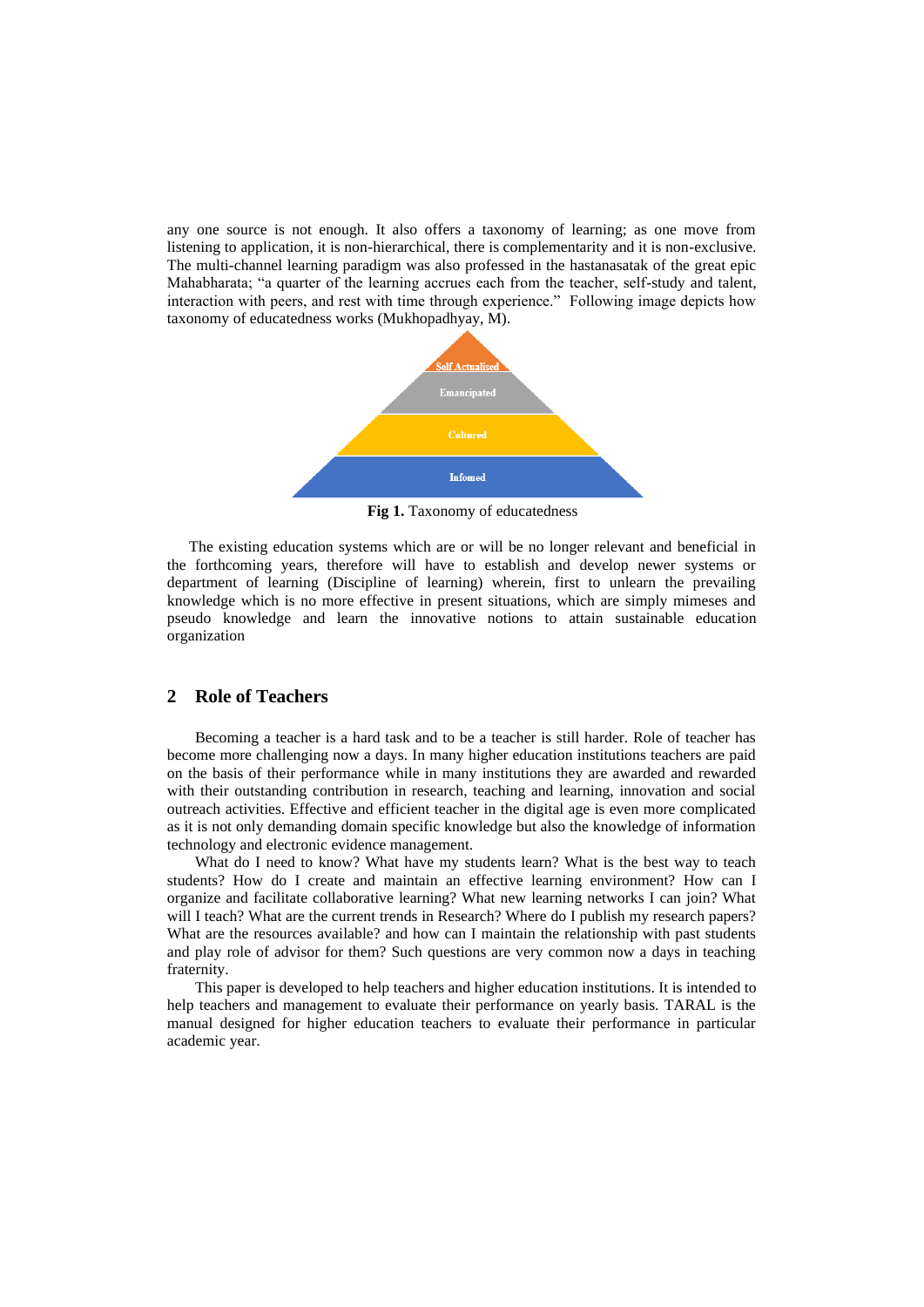any one source is not enough. It also offers a taxonomy of learning; as one move from listening to application, it is non-hierarchical, there is complementarity and it is non-exclusive. The multi-channel learning paradigm was also professed in the hastanasatak of the great epic Mahabharata; "a quarter of the learning accrues each from the teacher, self-study and talent, interaction with peers, and rest with time through experience." Following image depicts how taxonomy of educatedness works (Mukhopadhyay, M).



**Fig 1.** Taxonomy of educatedness

The existing education systems which are or will be no longer relevant and beneficial in the forthcoming years, therefore will have to establish and develop newer systems or department of learning (Discipline of learning) wherein, first to unlearn the prevailing knowledge which is no more effective in present situations, which are simply mimeses and pseudo knowledge and learn the innovative notions to attain sustainable education organization

## **2 Role of Teachers**

Becoming a teacher is a hard task and to be a teacher is still harder. Role of teacher has become more challenging now a days. In many higher education institutions teachers are paid on the basis of their performance while in many institutions they are awarded and rewarded with their outstanding contribution in research, teaching and learning, innovation and social outreach activities. Effective and efficient teacher in the digital age is even more complicated as it is not only demanding domain specific knowledge but also the knowledge of information technology and electronic evidence management.

What do I need to know? What have my students learn? What is the best way to teach students? How do I create and maintain an effective learning environment? How can I organize and facilitate collaborative learning? What new learning networks I can join? What will I teach? What are the current trends in Research? Where do I publish my research papers? What are the resources available? and how can I maintain the relationship with past students and play role of advisor for them? Such questions are very common now a days in teaching fraternity.

This paper is developed to help teachers and higher education institutions. It is intended to help teachers and management to evaluate their performance on yearly basis. TARAL is the manual designed for higher education teachers to evaluate their performance in particular academic year.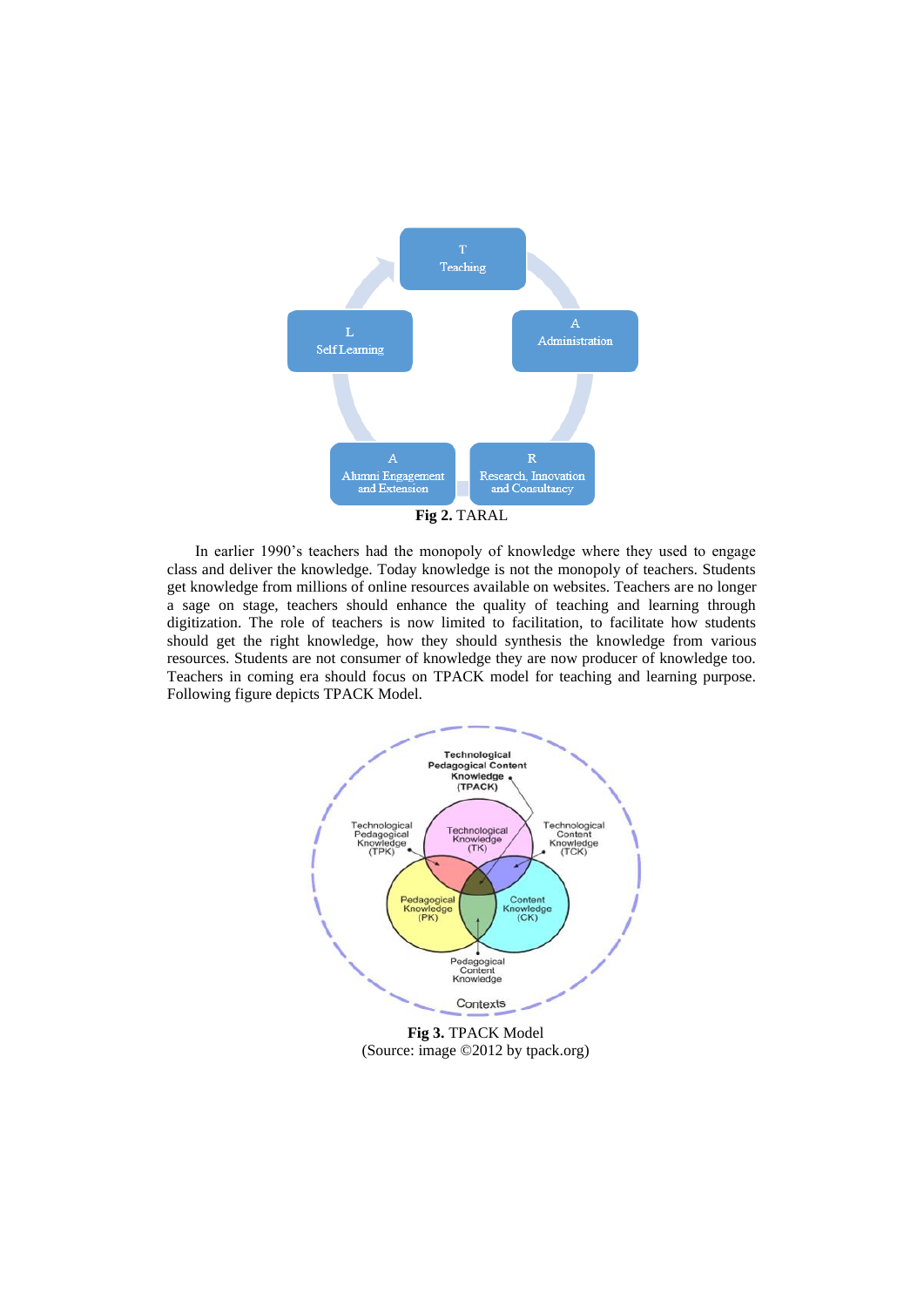

In earlier 1990's teachers had the monopoly of knowledge where they used to engage class and deliver the knowledge. Today knowledge is not the monopoly of teachers. Students get knowledge from millions of online resources available on websites. Teachers are no longer a sage on stage, teachers should enhance the quality of teaching and learning through digitization. The role of teachers is now limited to facilitation, to facilitate how students should get the right knowledge, how they should synthesis the knowledge from various resources. Students are not consumer of knowledge they are now producer of knowledge too. Teachers in coming era should focus on TPACK model for teaching and learning purpose. Following figure depicts TPACK Model.



**Fig 3.** TPACK Model (Source: image ©2012 by tpack.org)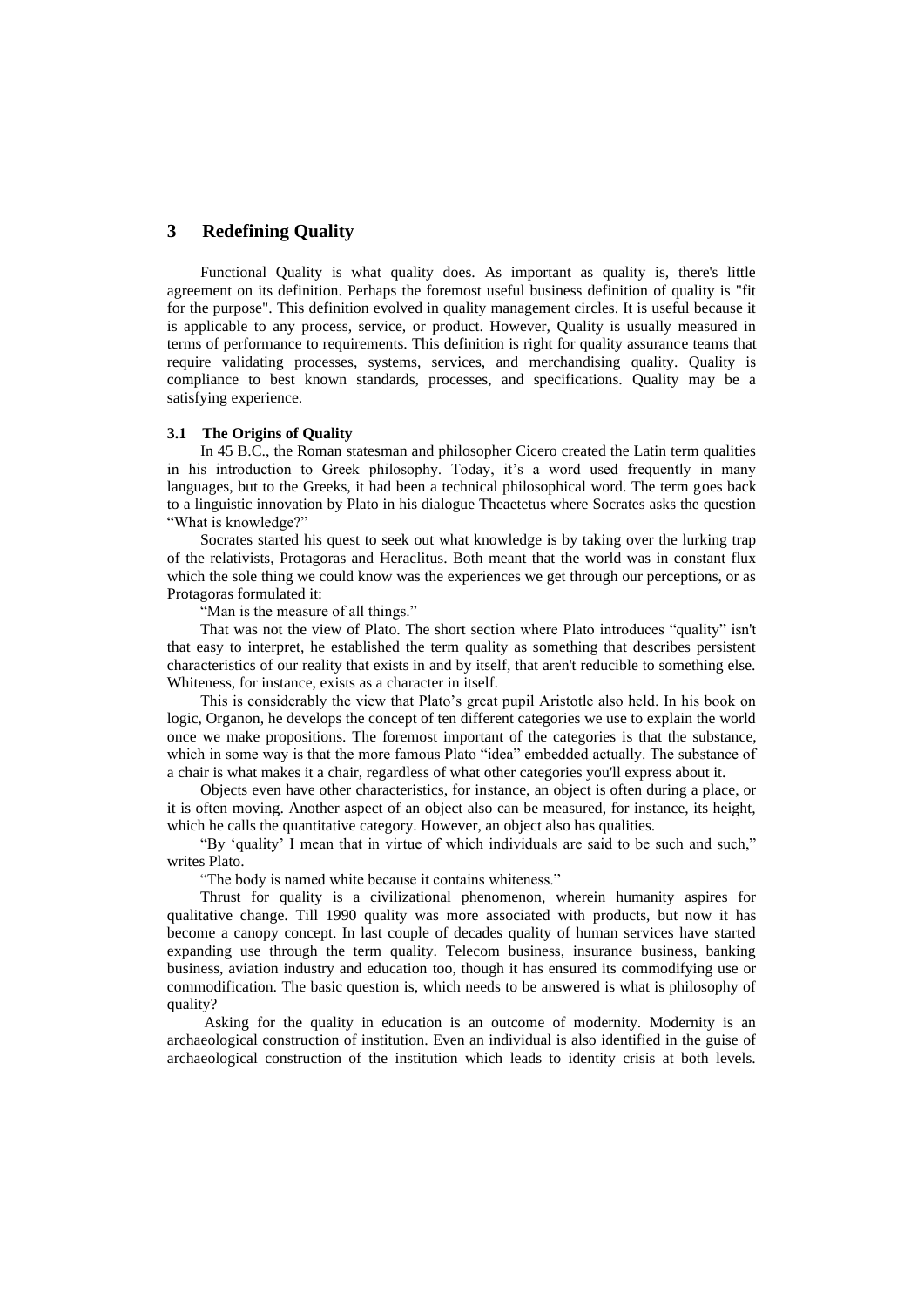## **3 Redefining Quality**

Functional Quality is what quality does. As important as quality is, there's little agreement on its definition. Perhaps the foremost useful business definition of quality is "fit for the purpose". This definition evolved in quality management circles. It is useful because it is applicable to any process, service, or product. However, Quality is usually measured in terms of performance to requirements. This definition is right for quality assurance teams that require validating processes, systems, services, and merchandising quality. Quality is compliance to best known standards, processes, and specifications. Quality may be a satisfying experience.

#### **3.1 The Origins of Quality**

In 45 B.C., the Roman statesman and philosopher Cicero created the Latin term qualities in his introduction to Greek philosophy. Today, it's a word used frequently in many languages, but to the Greeks, it had been a technical philosophical word. The term goes back to a linguistic innovation by Plato in his dialogue Theaetetus where Socrates asks the question "What is knowledge?"

Socrates started his quest to seek out what knowledge is by taking over the lurking trap of the relativists, Protagoras and Heraclitus. Both meant that the world was in constant flux which the sole thing we could know was the experiences we get through our perceptions, or as Protagoras formulated it:

"Man is the measure of all things."

That was not the view of Plato. The short section where Plato introduces "quality" isn't that easy to interpret, he established the term quality as something that describes persistent characteristics of our reality that exists in and by itself, that aren't reducible to something else. Whiteness, for instance, exists as a character in itself.

This is considerably the view that Plato's great pupil Aristotle also held. In his book on logic, Organon, he develops the concept of ten different categories we use to explain the world once we make propositions. The foremost important of the categories is that the substance, which in some way is that the more famous Plato "idea" embedded actually. The substance of a chair is what makes it a chair, regardless of what other categories you'll express about it.

Objects even have other characteristics, for instance, an object is often during a place, or it is often moving. Another aspect of an object also can be measured, for instance, its height, which he calls the quantitative category. However, an object also has qualities.

"By 'quality' I mean that in virtue of which individuals are said to be such and such," writes Plato.

"The body is named white because it contains whiteness."

Thrust for quality is a civilizational phenomenon, wherein humanity aspires for qualitative change. Till 1990 quality was more associated with products, but now it has become a canopy concept. In last couple of decades quality of human services have started expanding use through the term quality. Telecom business, insurance business, banking business, aviation industry and education too, though it has ensured its commodifying use or commodification. The basic question is, which needs to be answered is what is philosophy of quality?

Asking for the quality in education is an outcome of modernity. Modernity is an archaeological construction of institution. Even an individual is also identified in the guise of archaeological construction of the institution which leads to identity crisis at both levels.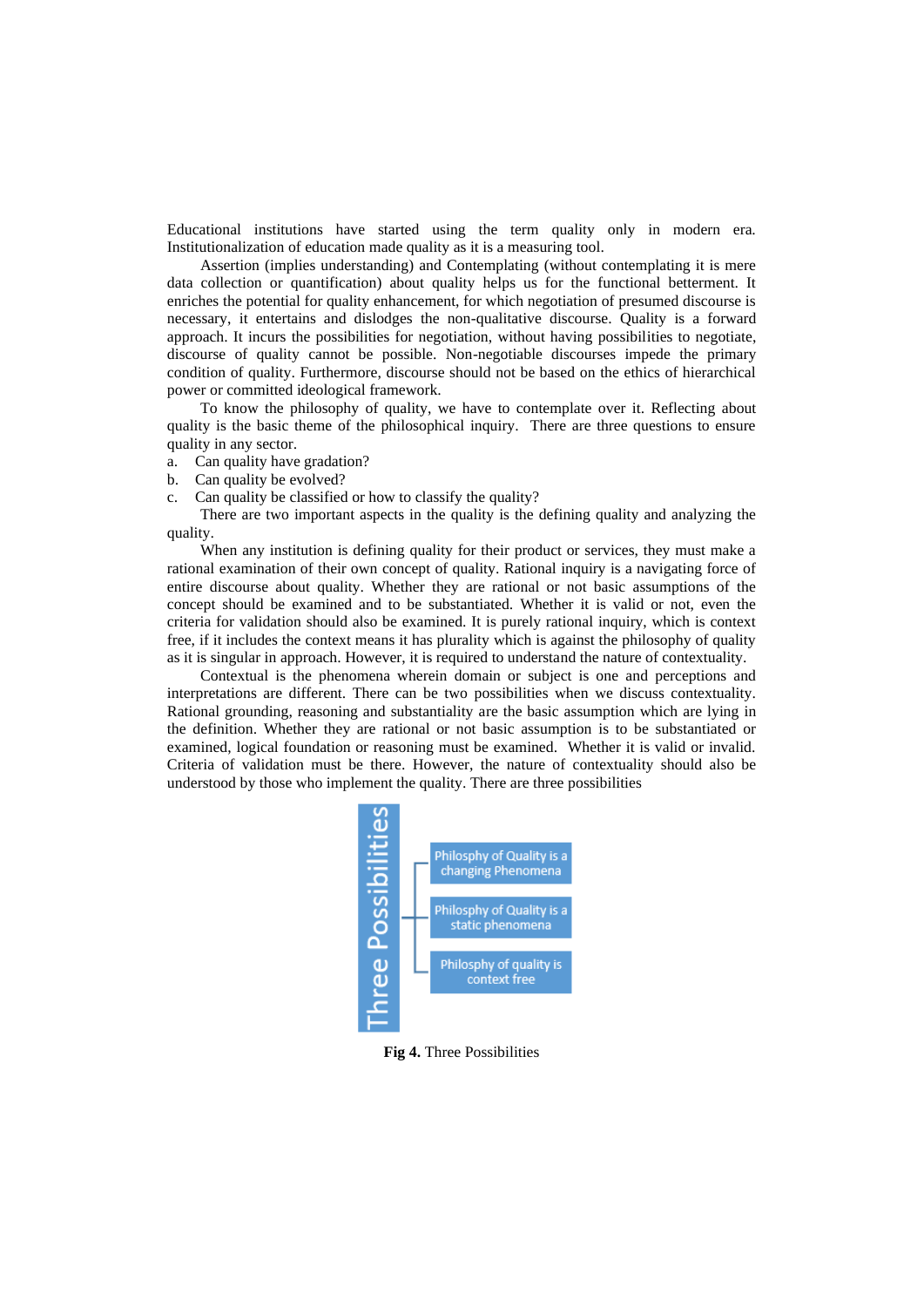Educational institutions have started using the term quality only in modern era. Institutionalization of education made quality as it is a measuring tool.

Assertion (implies understanding) and Contemplating (without contemplating it is mere data collection or quantification) about quality helps us for the functional betterment. It enriches the potential for quality enhancement, for which negotiation of presumed discourse is necessary, it entertains and dislodges the non-qualitative discourse. Quality is a forward approach. It incurs the possibilities for negotiation, without having possibilities to negotiate, discourse of quality cannot be possible. Non-negotiable discourses impede the primary condition of quality. Furthermore, discourse should not be based on the ethics of hierarchical power or committed ideological framework.

To know the philosophy of quality, we have to contemplate over it. Reflecting about quality is the basic theme of the philosophical inquiry. There are three questions to ensure quality in any sector.

- a. Can quality have gradation?
- b. Can quality be evolved?
- c. Can quality be classified or how to classify the quality?

There are two important aspects in the quality is the defining quality and analyzing the quality.

When any institution is defining quality for their product or services, they must make a rational examination of their own concept of quality. Rational inquiry is a navigating force of entire discourse about quality. Whether they are rational or not basic assumptions of the concept should be examined and to be substantiated. Whether it is valid or not, even the criteria for validation should also be examined. It is purely rational inquiry, which is context free, if it includes the context means it has plurality which is against the philosophy of quality as it is singular in approach. However, it is required to understand the nature of contextuality.

Contextual is the phenomena wherein domain or subject is one and perceptions and interpretations are different. There can be two possibilities when we discuss contextuality. Rational grounding, reasoning and substantiality are the basic assumption which are lying in the definition. Whether they are rational or not basic assumption is to be substantiated or examined, logical foundation or reasoning must be examined. Whether it is valid or invalid. Criteria of validation must be there. However, the nature of contextuality should also be understood by those who implement the quality. There are three possibilities



**Fig 4.** Three Possibilities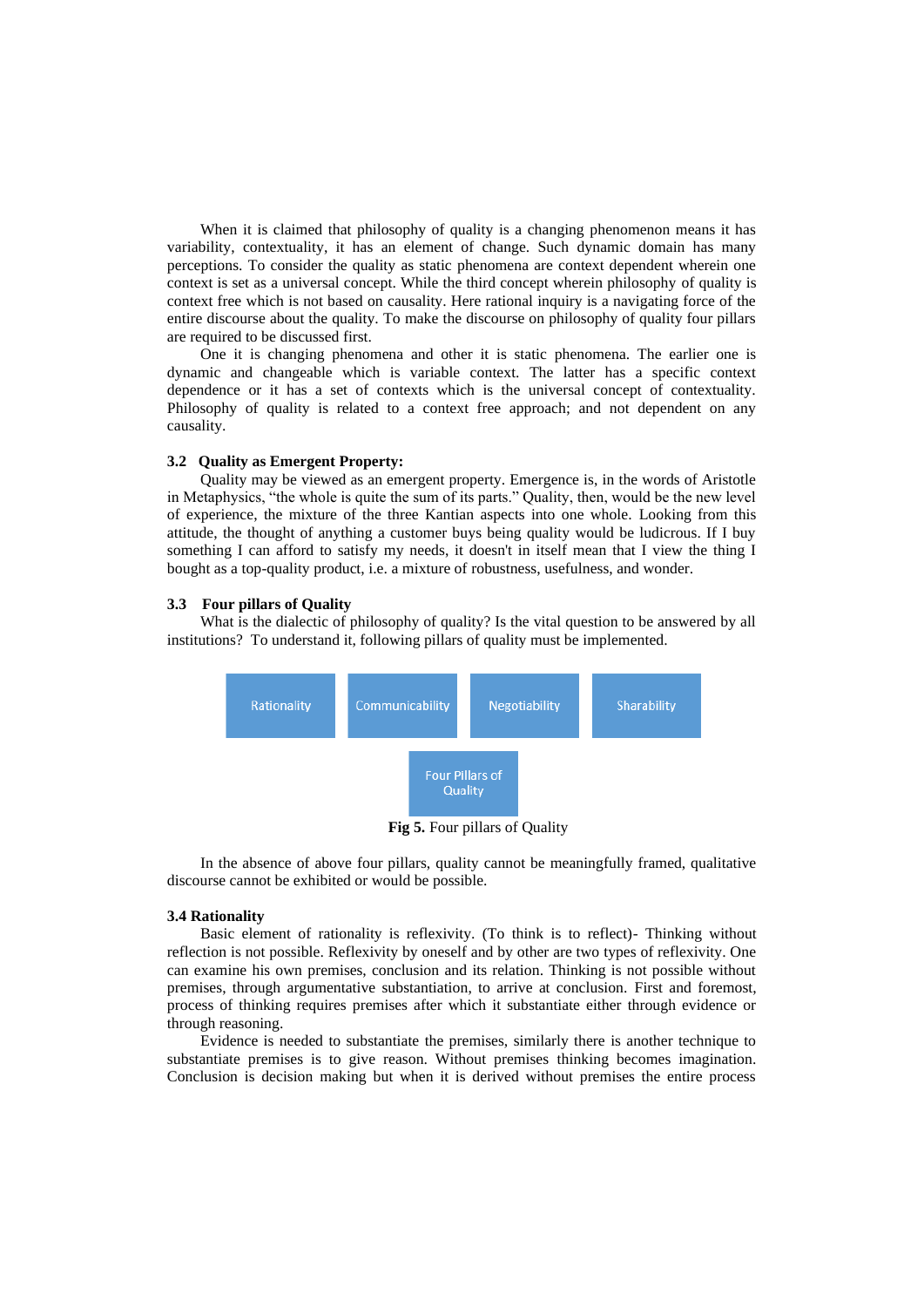When it is claimed that philosophy of quality is a changing phenomenon means it has variability, contextuality, it has an element of change. Such dynamic domain has many perceptions. To consider the quality as static phenomena are context dependent wherein one context is set as a universal concept. While the third concept wherein philosophy of quality is context free which is not based on causality. Here rational inquiry is a navigating force of the entire discourse about the quality. To make the discourse on philosophy of quality four pillars are required to be discussed first.

One it is changing phenomena and other it is static phenomena. The earlier one is dynamic and changeable which is variable context. The latter has a specific context dependence or it has a set of contexts which is the universal concept of contextuality. Philosophy of quality is related to a context free approach; and not dependent on any causality.

#### **3.2 Quality as Emergent Property:**

Quality may be viewed as an emergent property. Emergence is, in the words of Aristotle in Metaphysics, "the whole is quite the sum of its parts." Quality, then, would be the new level of experience, the mixture of the three Kantian aspects into one whole. Looking from this attitude, the thought of anything a customer buys being quality would be ludicrous. If I buy something I can afford to satisfy my needs, it doesn't in itself mean that I view the thing I bought as a top-quality product, i.e. a mixture of robustness, usefulness, and wonder.

#### **3.3 Four pillars of Quality**

What is the dialectic of philosophy of quality? Is the vital question to be answered by all institutions? To understand it, following pillars of quality must be implemented.



**Fig 5.** Four pillars of Quality

In the absence of above four pillars, quality cannot be meaningfully framed, qualitative discourse cannot be exhibited or would be possible.

#### **3.4 Rationality**

Basic element of rationality is reflexivity. (To think is to reflect)- Thinking without reflection is not possible. Reflexivity by oneself and by other are two types of reflexivity. One can examine his own premises, conclusion and its relation. Thinking is not possible without premises, through argumentative substantiation, to arrive at conclusion. First and foremost, process of thinking requires premises after which it substantiate either through evidence or through reasoning.

Evidence is needed to substantiate the premises, similarly there is another technique to substantiate premises is to give reason. Without premises thinking becomes imagination. Conclusion is decision making but when it is derived without premises the entire process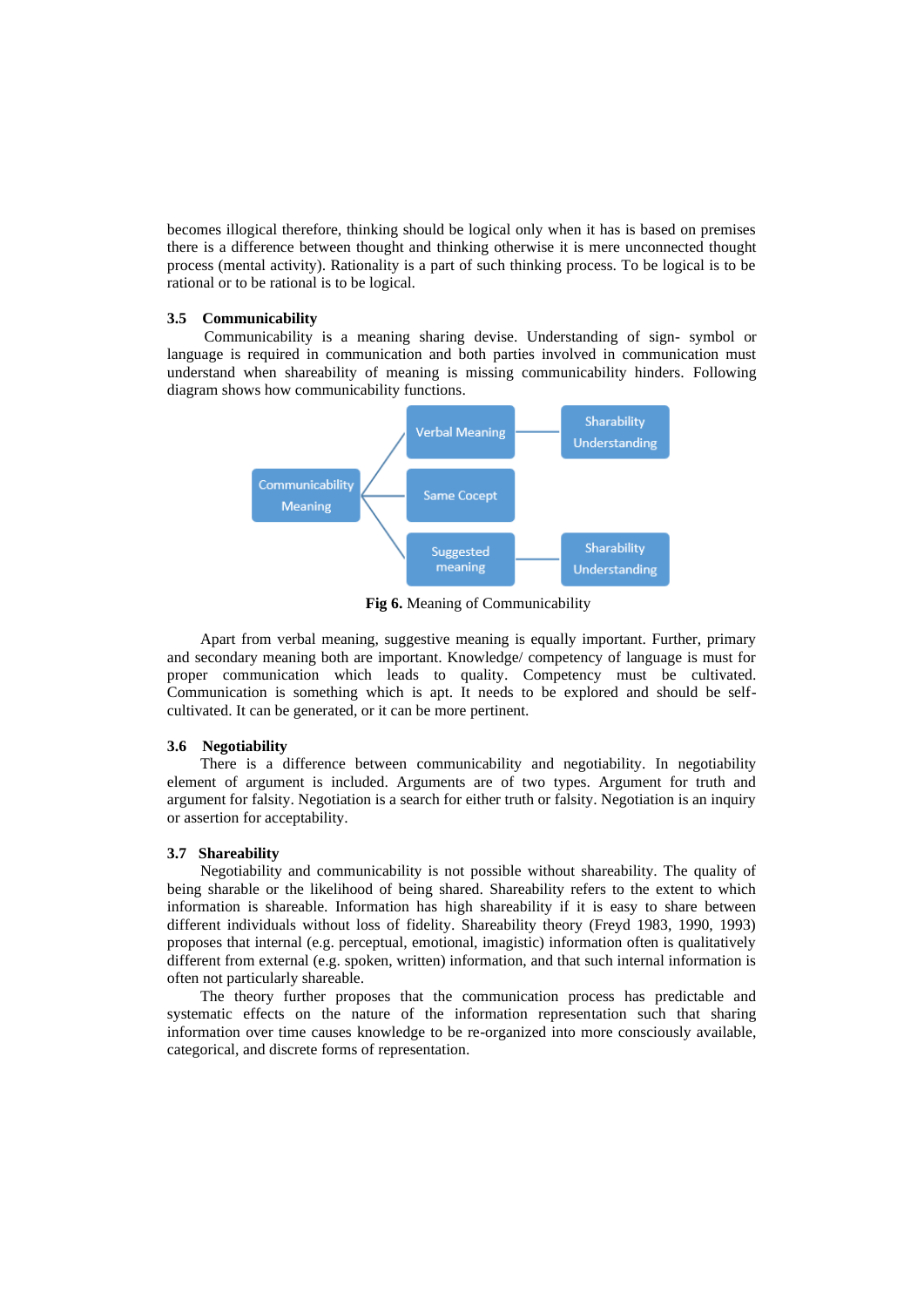becomes illogical therefore, thinking should be logical only when it has is based on premises there is a difference between thought and thinking otherwise it is mere unconnected thought process (mental activity). Rationality is a part of such thinking process. To be logical is to be rational or to be rational is to be logical.

#### **3.5 Communicability**

Communicability is a meaning sharing devise. Understanding of sign- symbol or language is required in communication and both parties involved in communication must understand when shareability of meaning is missing communicability hinders. Following diagram shows how communicability functions.



**Fig 6.** Meaning of Communicability

Apart from verbal meaning, suggestive meaning is equally important. Further, primary and secondary meaning both are important. Knowledge/ competency of language is must for proper communication which leads to quality. Competency must be cultivated. Communication is something which is apt. It needs to be explored and should be selfcultivated. It can be generated, or it can be more pertinent.

#### **3.6 Negotiability**

There is a difference between communicability and negotiability. In negotiability element of argument is included. Arguments are of two types. Argument for truth and argument for falsity. Negotiation is a search for either truth or falsity. Negotiation is an inquiry or assertion for acceptability.

#### **3.7 Shareability**

Negotiability and communicability is not possible without shareability. The quality of being sharable or the likelihood of being shared. Shareability refers to the extent to which information is shareable. Information has high shareability if it is easy to share between different individuals without loss of fidelity. Shareability theory (Freyd 1983, 1990, 1993) proposes that internal (e.g. perceptual, emotional, imagistic) information often is qualitatively different from external (e.g. spoken, written) information, and that such internal information is often not particularly shareable.

The theory further proposes that the communication process has predictable and systematic effects on the nature of the information representation such that sharing information over time causes knowledge to be re-organized into more consciously available, categorical, and discrete forms of representation.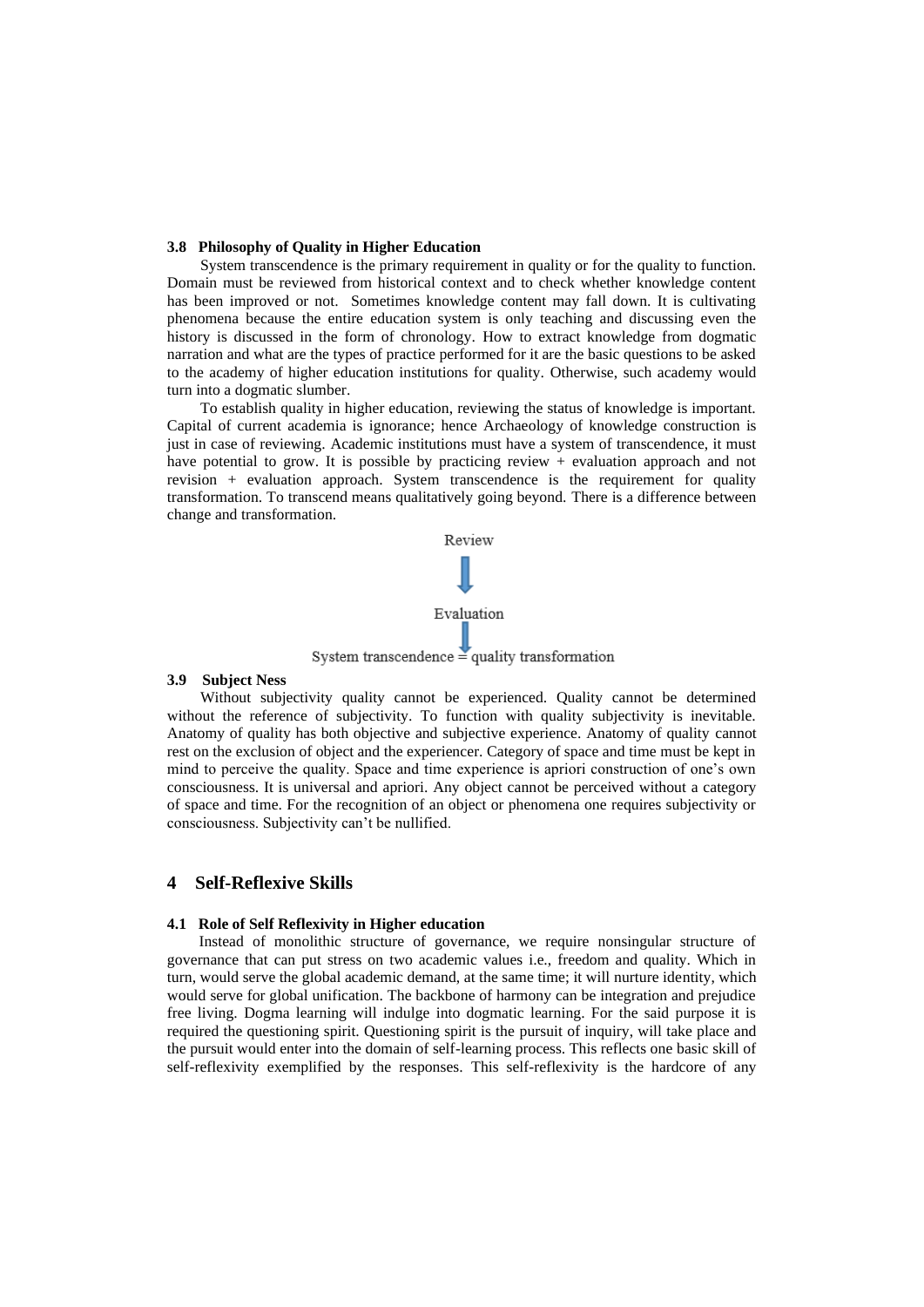#### **3.8 Philosophy of Quality in Higher Education**

System transcendence is the primary requirement in quality or for the quality to function. Domain must be reviewed from historical context and to check whether knowledge content has been improved or not. Sometimes knowledge content may fall down. It is cultivating phenomena because the entire education system is only teaching and discussing even the history is discussed in the form of chronology. How to extract knowledge from dogmatic narration and what are the types of practice performed for it are the basic questions to be asked to the academy of higher education institutions for quality. Otherwise, such academy would turn into a dogmatic slumber.

To establish quality in higher education, reviewing the status of knowledge is important. Capital of current academia is ignorance; hence Archaeology of knowledge construction is just in case of reviewing. Academic institutions must have a system of transcendence, it must have potential to grow. It is possible by practicing review + evaluation approach and not revision + evaluation approach. System transcendence is the requirement for quality transformation. To transcend means qualitatively going beyond. There is a difference between change and transformation.



#### **3.9 Subject Ness**

Without subjectivity quality cannot be experienced. Quality cannot be determined without the reference of subjectivity. To function with quality subjectivity is inevitable. Anatomy of quality has both objective and subjective experience. Anatomy of quality cannot rest on the exclusion of object and the experiencer. Category of space and time must be kept in mind to perceive the quality. Space and time experience is apriori construction of one's own consciousness. It is universal and apriori. Any object cannot be perceived without a category of space and time. For the recognition of an object or phenomena one requires subjectivity or consciousness. Subjectivity can't be nullified.

#### **4 Self-Reflexive Skills**

#### **4.1 Role of Self Reflexivity in Higher education**

Instead of monolithic structure of governance, we require nonsingular structure of governance that can put stress on two academic values i.e., freedom and quality. Which in turn, would serve the global academic demand, at the same time; it will nurture identity, which would serve for global unification. The backbone of harmony can be integration and prejudice free living. Dogma learning will indulge into dogmatic learning. For the said purpose it is required the questioning spirit. Questioning spirit is the pursuit of inquiry, will take place and the pursuit would enter into the domain of self-learning process. This reflects one basic skill of self-reflexivity exemplified by the responses. This self-reflexivity is the hardcore of any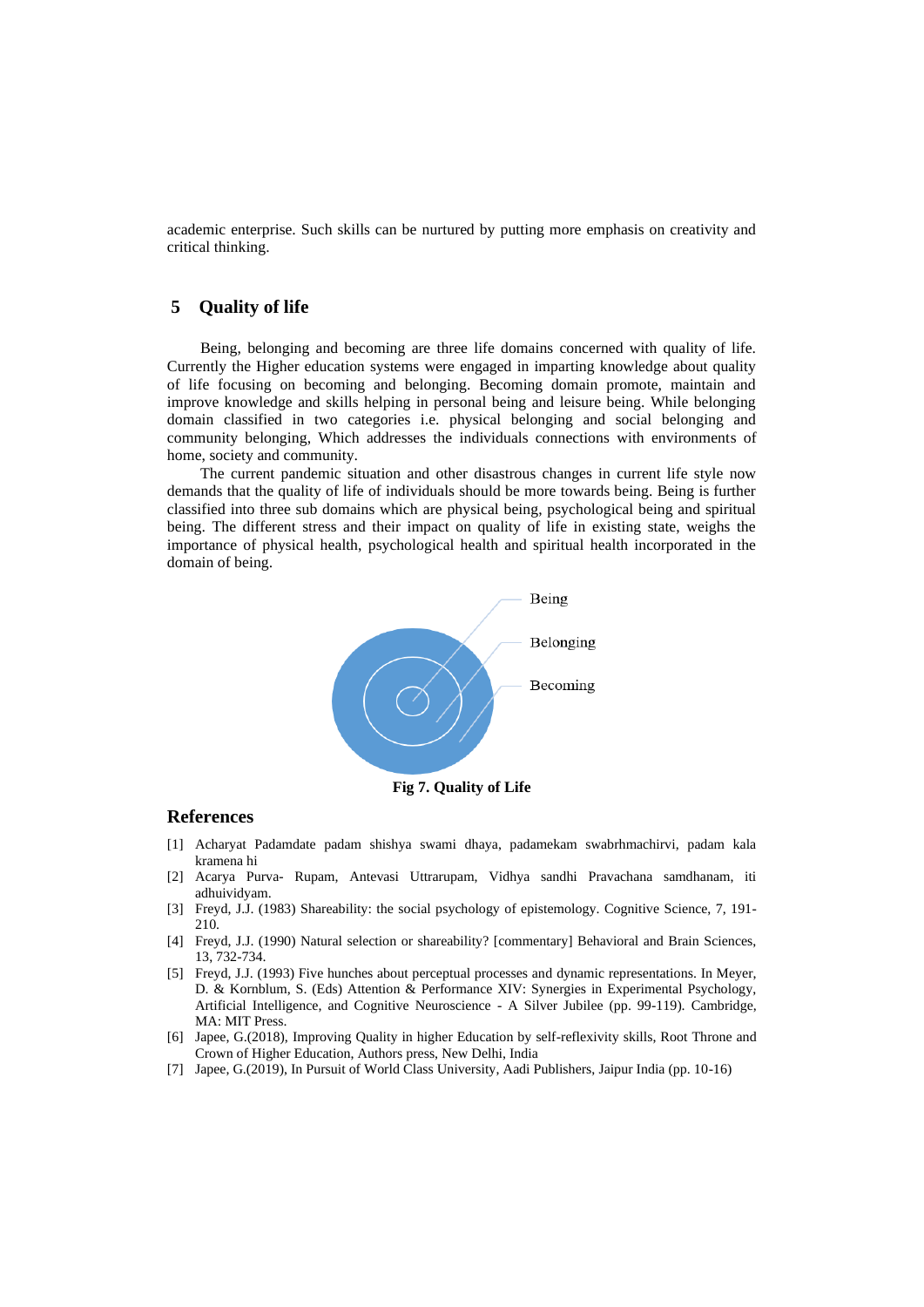academic enterprise. Such skills can be nurtured by putting more emphasis on creativity and critical thinking.

## **5 Quality of life**

Being, belonging and becoming are three life domains concerned with quality of life. Currently the Higher education systems were engaged in imparting knowledge about quality of life focusing on becoming and belonging. Becoming domain promote, maintain and improve knowledge and skills helping in personal being and leisure being. While belonging domain classified in two categories i.e. physical belonging and social belonging and community belonging, Which addresses the individuals connections with environments of home, society and community.

The current pandemic situation and other disastrous changes in current life style now demands that the quality of life of individuals should be more towards being. Being is further classified into three sub domains which are physical being, psychological being and spiritual being. The different stress and their impact on quality of life in existing state, weighs the importance of physical health, psychological health and spiritual health incorporated in the domain of being.



**Fig 7. Quality of Life**

### **References**

- [1] Acharyat Padamdate padam shishya swami dhaya, padamekam swabrhmachirvi, padam kala kramena hi
- [2] Acarya Purva- Rupam, Antevasi Uttrarupam, Vidhya sandhi Pravachana samdhanam, iti adhuividyam.
- [3] Freyd, J.J. (1983) Shareability: the social psychology of epistemology. Cognitive Science, 7, 191- 210.
- [4] Freyd, J.J. (1990) Natural selection or shareability? [commentary] Behavioral and Brain Sciences, 13, 732-734.
- [5] Freyd, J.J. (1993) Five hunches about perceptual processes and dynamic representations. In Meyer, D. & Kornblum, S. (Eds) Attention & Performance XIV: Synergies in Experimental Psychology, Artificial Intelligence, and Cognitive Neuroscience - A Silver Jubilee (pp. 99-119). Cambridge, MA: MIT Press.
- [6] Japee, G.(2018), Improving Quality in higher Education by self-reflexivity skills, Root Throne and Crown of Higher Education, Authors press, New Delhi, India
- [7] Japee, G.(2019), In Pursuit of World Class University, Aadi Publishers, Jaipur India (pp. 10-16)